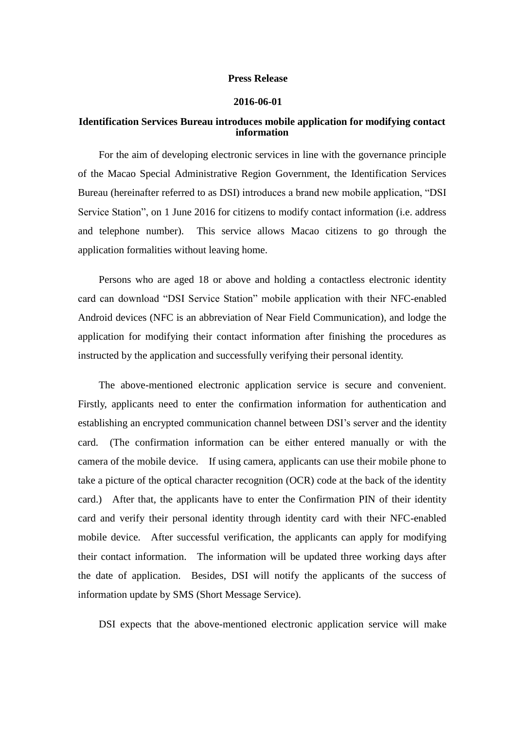## **Press Release**

## **2016-06-01**

## **Identification Services Bureau introduces mobile application for modifying contact information**

For the aim of developing electronic services in line with the governance principle of the Macao Special Administrative Region Government, the Identification Services Bureau (hereinafter referred to as DSI) introduces a brand new mobile application, "DSI Service Station", on 1 June 2016 for citizens to modify contact information (i.e. address and telephone number). This service allows Macao citizens to go through the application formalities without leaving home.

Persons who are aged 18 or above and holding a contactless electronic identity card can download "DSI Service Station" mobile application with their NFC-enabled Android devices (NFC is an abbreviation of Near Field Communication), and lodge the application for modifying their contact information after finishing the procedures as instructed by the application and successfully verifying their personal identity.

The above-mentioned electronic application service is secure and convenient. Firstly, applicants need to enter the confirmation information for authentication and establishing an encrypted communication channel between DSI's server and the identity card. (The confirmation information can be either entered manually or with the camera of the mobile device. If using camera, applicants can use their mobile phone to take a picture of the optical character recognition (OCR) code at the back of the identity card.) After that, the applicants have to enter the Confirmation PIN of their identity card and verify their personal identity through identity card with their NFC-enabled mobile device. After successful verification, the applicants can apply for modifying their contact information. The information will be updated three working days after the date of application. Besides, DSI will notify the applicants of the success of information update by SMS (Short Message Service).

DSI expects that the above-mentioned electronic application service will make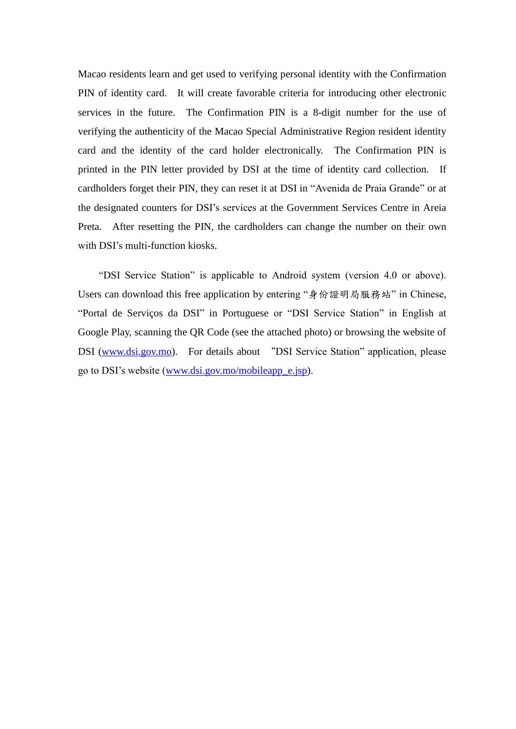Macao residents learn and get used to verifying personal identity with the Confirmation PIN of identity card. It will create favorable criteria for introducing other electronic services in the future. The Confirmation PIN is a 8-digit number for the use of verifying the authenticity of the Macao Special Administrative Region resident identity card and the identity of the card holder electronically. The Confirmation PIN is printed in the PIN letter provided by DSI at the time of identity card collection. If cardholders forget their PIN, they can reset it at DSI in "Avenida de Praia Grande" or at the designated counters for DSI's services at the Government Services Centre in Areia Preta. After resetting the PIN, the cardholders can change the number on their own with DSI's multi-function kiosks.

"DSI Service Station" is applicable to Android system (version 4.0 or above). Users can download this free application by entering "身份證明局服務站" in Chinese, "Portal de Serviços da DSI" in Portuguese or "DSI Service Station" in English at Google Play, scanning the QR Code (see the attached photo) or browsing the website of DSI [\(www.dsi.gov.mo\)](http://www.dsi.gov.mo/). For details about "DSI Service Station" application, please go to DSI's website [\(www.dsi.gov.mo/mobileapp\\_e.jsp\)](www.dsi.gov.mo/mobileapp_e.jsp).